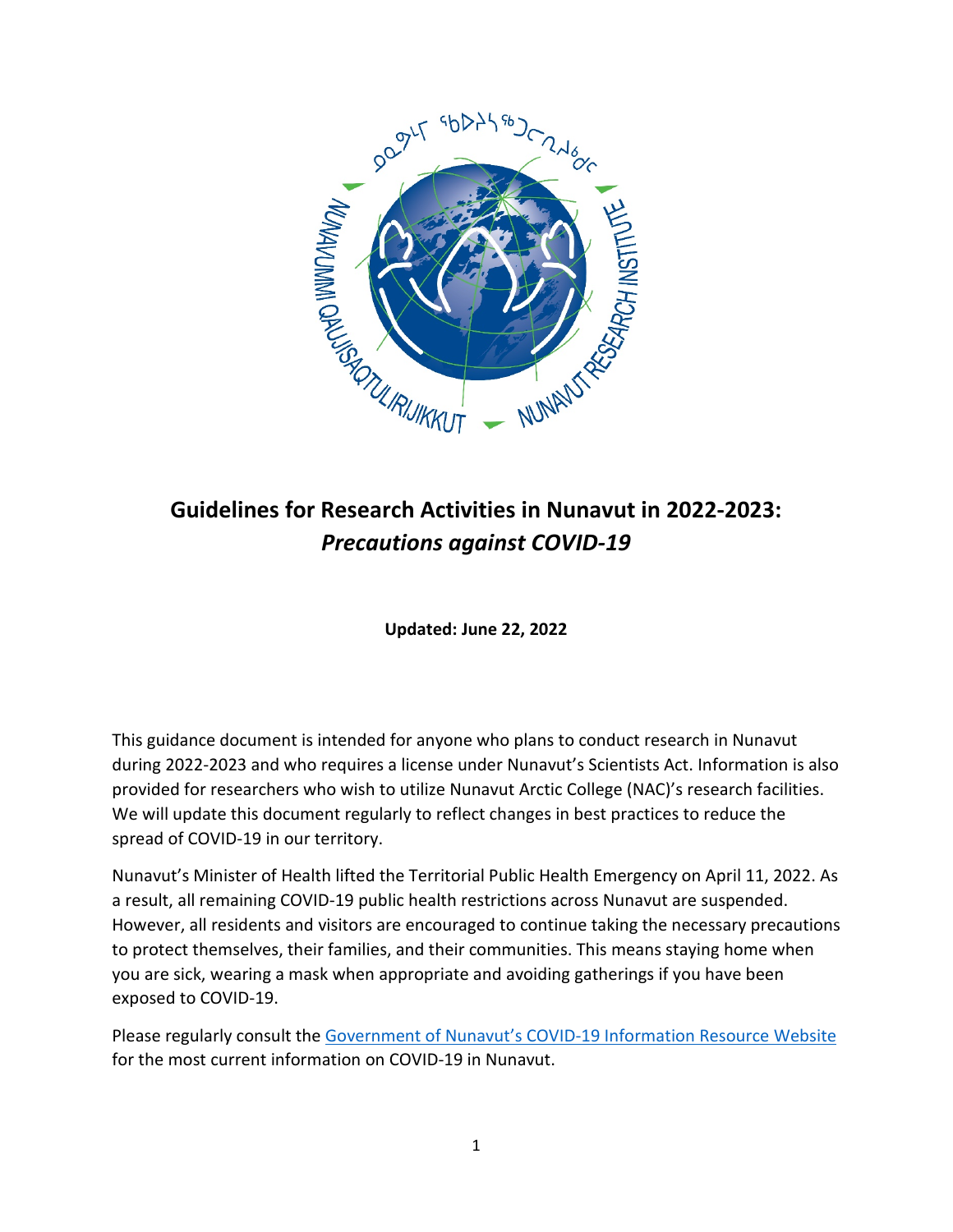

# **Guidelines for Research Activities in Nunavut in 2022-2023:**  *Precautions against COVID-19*

**Updated: June 22, 2022**

This guidance document is intended for anyone who plans to conduct research in Nunavut during 2022-2023 and who requires a license under Nunavut's Scientists Act. Information is also provided for researchers who wish to utilize Nunavut Arctic College (NAC)'s research facilities. We will update this document regularly to reflect changes in best practices to reduce the spread of COVID-19 in our territory.

Nunavut's Minister of Health lifted the Territorial Public Health Emergency on April 11, 2022. As a result, all remaining COVID-19 public health restrictions across Nunavut are suspended. However, all residents and visitors are encouraged to continue taking the necessary precautions to protect themselves, their families, and their communities. This means staying home when you are sick, wearing a mask when appropriate and avoiding gatherings if you have been exposed to COVID-19.

Please regularly consult the [Government of Nunavut's COVID-19 Information Resource Website](https://www.gov.nu.ca/health/information/covid-19-novel-coronavirus) for the most current information on COVID-19 in Nunavut.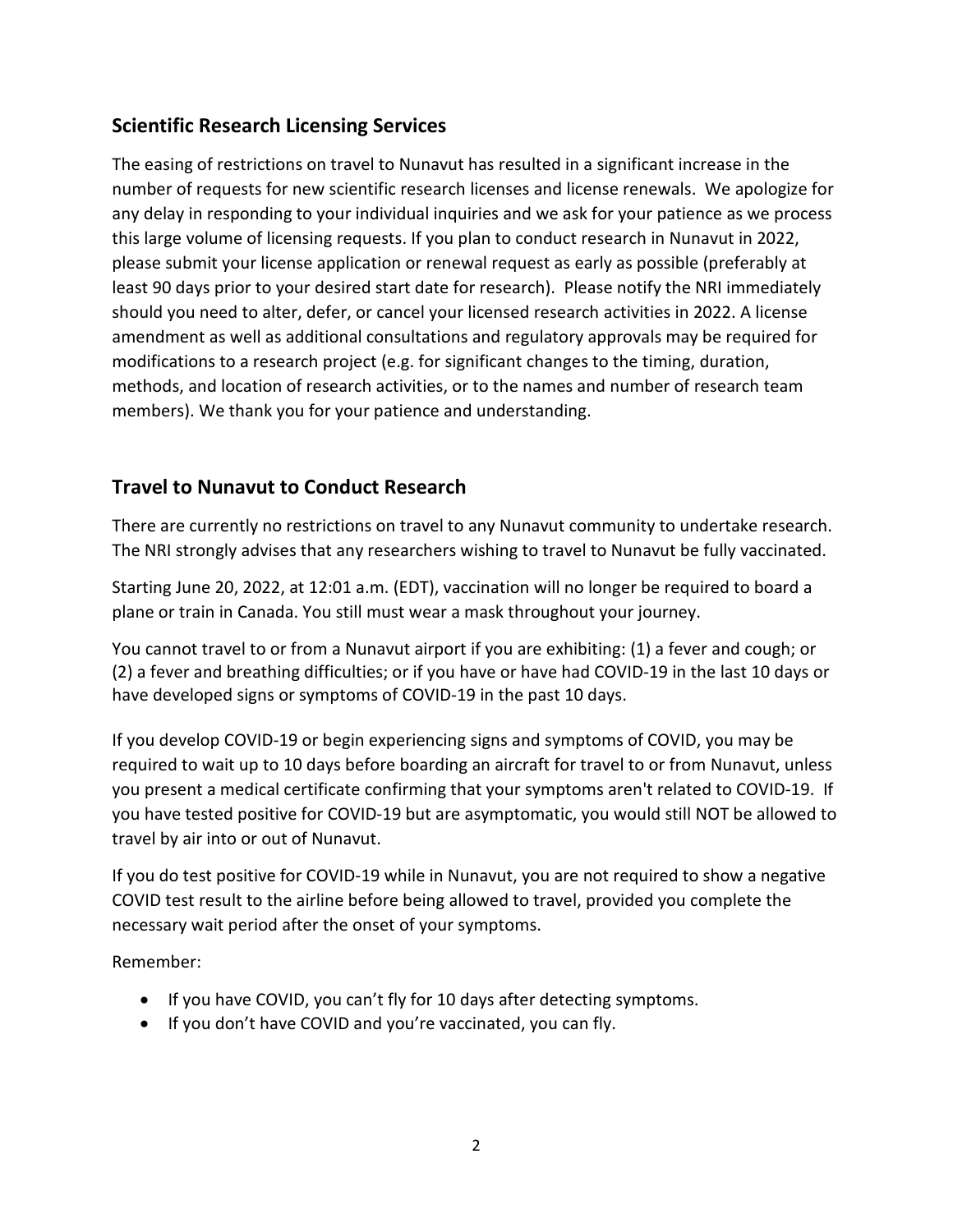## **Scientific Research Licensing Services**

The easing of restrictions on travel to Nunavut has resulted in a significant increase in the number of requests for new scientific research licenses and license renewals. We apologize for any delay in responding to your individual inquiries and we ask for your patience as we process this large volume of licensing requests. If you plan to conduct research in Nunavut in 2022, please submit your license application or renewal request as early as possible (preferably at least 90 days prior to your desired start date for research). Please notify the NRI immediately should you need to alter, defer, or cancel your licensed research activities in 2022. A license amendment as well as additional consultations and regulatory approvals may be required for modifications to a research project (e.g. for significant changes to the timing, duration, methods, and location of research activities, or to the names and number of research team members). We thank you for your patience and understanding.

### **Travel to Nunavut to Conduct Research**

There are currently no restrictions on travel to any Nunavut community to undertake research. The NRI strongly advises that any researchers wishing to travel to Nunavut be fully vaccinated.

Starting June 20, 2022, at 12:01 a.m. (EDT), vaccination will no longer be required to board a plane or train in Canada. You still must wear a mask throughout your journey.

You cannot travel to or from a Nunavut airport if you are exhibiting: (1) a fever and cough; or (2) a fever and breathing difficulties; or if you have or have had COVID-19 in the last 10 days or have developed signs or symptoms of COVID-19 in the past 10 days.

If you develop COVID-19 or begin experiencing signs and symptoms of COVID, you may be required to wait up to 10 days before boarding an aircraft for travel to or from Nunavut, unless you present a medical certificate confirming that your symptoms aren't related to COVID-19. If you have tested positive for COVID-19 but are asymptomatic, you would still NOT be allowed to travel by air into or out of Nunavut.

If you do test positive for COVID-19 while in Nunavut, you are not required to show a negative COVID test result to the airline before being allowed to travel, provided you complete the necessary wait period after the onset of your symptoms.

Remember:

- If you have COVID, you can't fly for 10 days after detecting symptoms.
- If you don't have COVID and you're vaccinated, you can fly.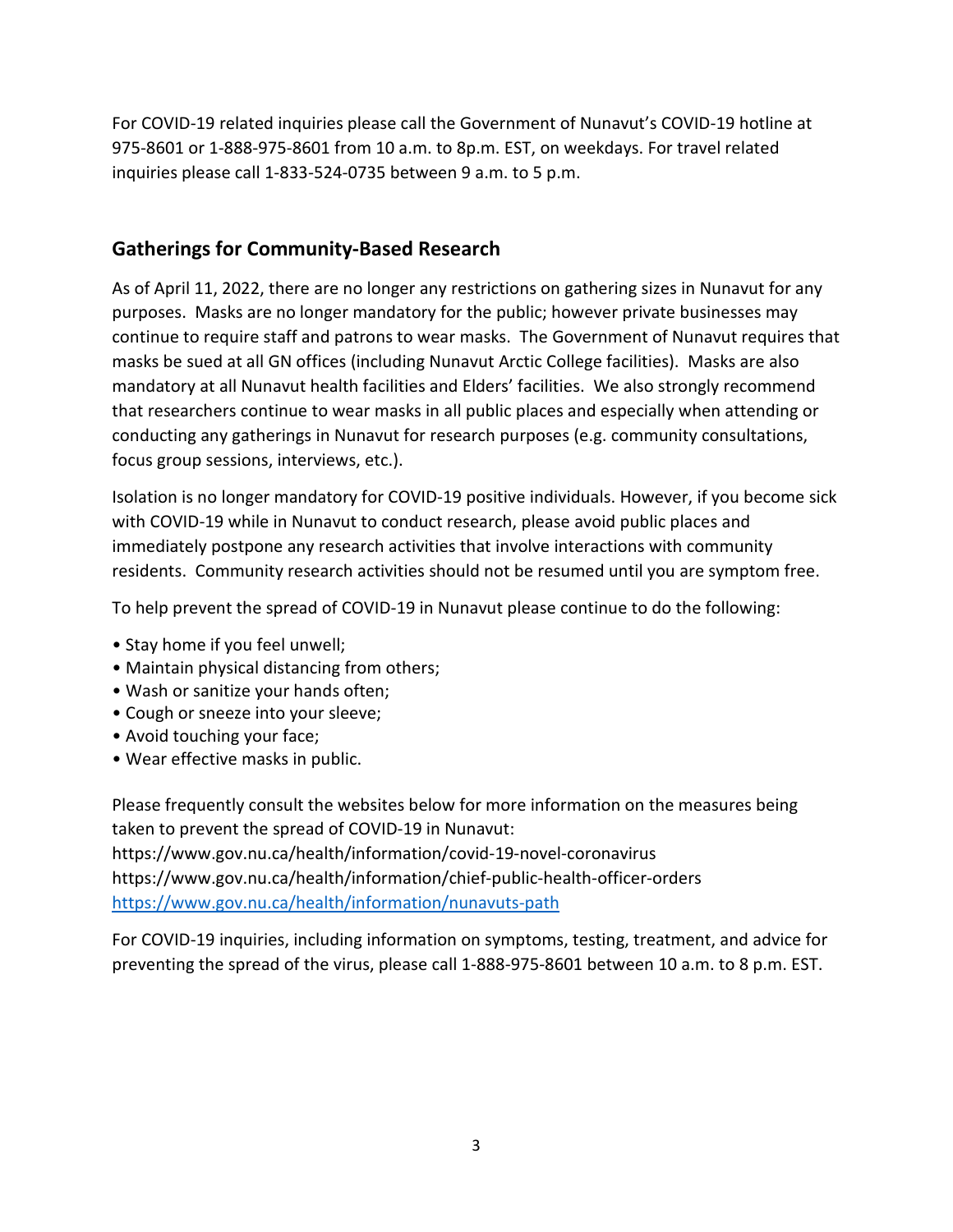For COVID-19 related inquiries please call the Government of Nunavut's COVID-19 hotline at 975-8601 or 1-888-975-8601 from 10 a.m. to 8p.m. EST, on weekdays. For travel related inquiries please call 1-833-524-0735 between 9 a.m. to 5 p.m.

## **Gatherings for Community-Based Research**

As of April 11, 2022, there are no longer any restrictions on gathering sizes in Nunavut for any purposes. Masks are no longer mandatory for the public; however private businesses may continue to require staff and patrons to wear masks. The Government of Nunavut requires that masks be sued at all GN offices (including Nunavut Arctic College facilities). Masks are also mandatory at all Nunavut health facilities and Elders' facilities. We also strongly recommend that researchers continue to wear masks in all public places and especially when attending or conducting any gatherings in Nunavut for research purposes (e.g. community consultations, focus group sessions, interviews, etc.).

Isolation is no longer mandatory for COVID-19 positive individuals. However, if you become sick with COVID-19 while in Nunavut to conduct research, please avoid public places and immediately postpone any research activities that involve interactions with community residents. Community research activities should not be resumed until you are symptom free.

To help prevent the spread of COVID-19 in Nunavut please continue to do the following:

- Stay home if you feel unwell;
- Maintain physical distancing from others;
- Wash or sanitize your hands often;
- Cough or sneeze into your sleeve;
- Avoid touching your face;
- Wear effective masks in public.

Please frequently consult the websites below for more information on the measures being taken to prevent the spread of COVID-19 in Nunavut: https://www.gov.nu.ca/health/information/covid-19-novel-coronavirus https://www.gov.nu.ca/health/information/chief-public-health-officer-orders <https://www.gov.nu.ca/health/information/nunavuts-path>

For COVID-19 inquiries, including information on symptoms, testing, treatment, and advice for preventing the spread of the virus, please call 1-888-975-8601 between 10 a.m. to 8 p.m. EST.